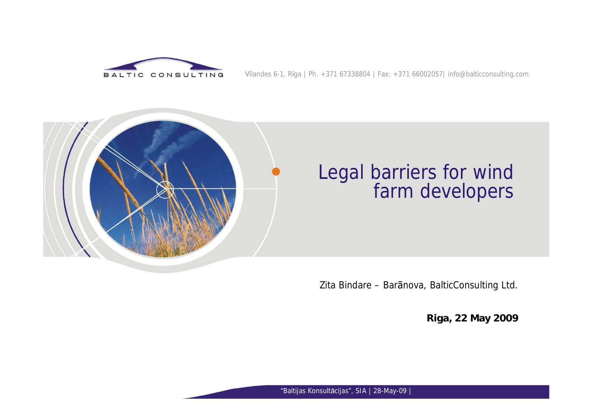

#### Vilandes 6-1, Riga | Ph. +371 67338804 | Fax: +371 66002057| [info@balticconsulting.com](mailto:info@balticconsulting.com)



#### Legal barriers for wind farm developers

Zita Bindare - Baranova, BalticConsulting Ltd.

**Riga, 22 May 2009**

"Baltijas Konsultācijas", SIA | 28-May-09 |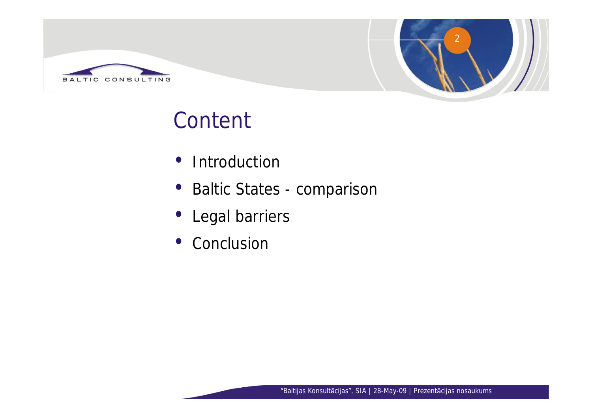



## **Content**

- Introduction
- Baltic States comparison
- •Legal barriers
- Conclusion

"Baltijas Konsultācijas", SIA | 28-May-09 | Prezentācijas nosaukums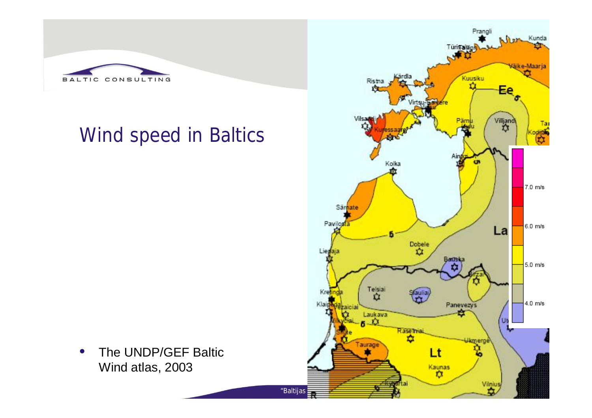

### Wind speed in Baltics



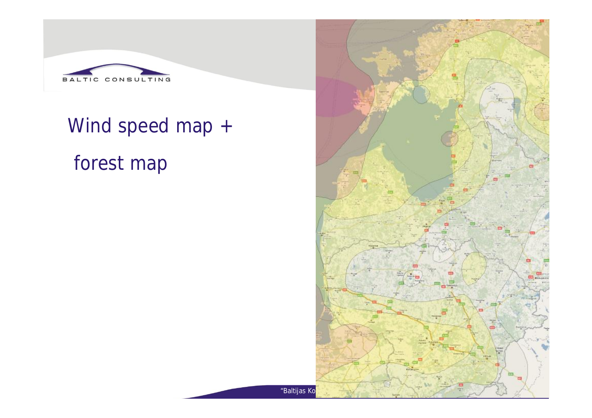

# Wind speed map + forest map

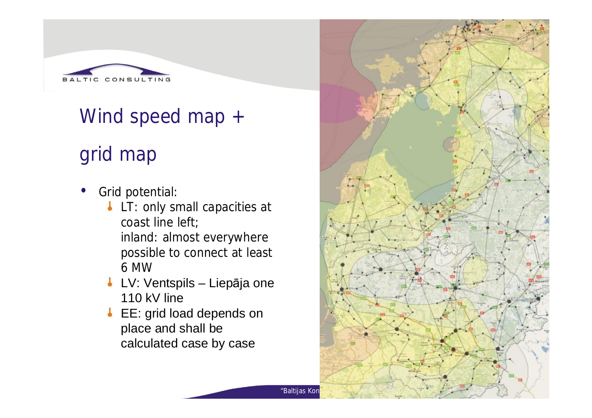

#### Wind speed map +

## grid map

- Grid potential:
	- **LT: only small capacities at** coast line left; inland: almost everywhere possible to connect at least 6 MW
	- **LV: Ventspils Liepāja one** 110 kV line
	- EE: grid load depends on place and shall be calculated case by case

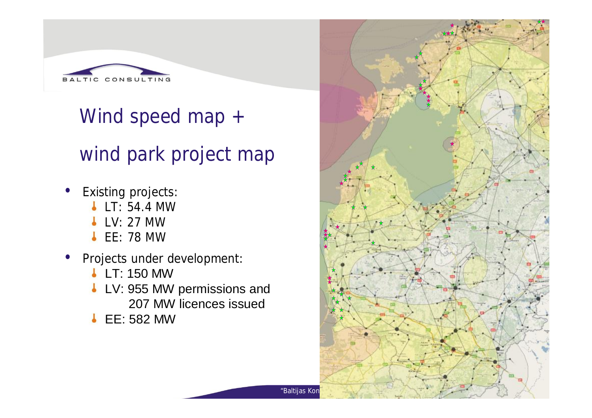

Wind speed map + wind park project map

- Existing projects:
	- **LT: 54.4 MW**
	- **LV: 27 MW**
	- **L** EE: 78 MW
- Projects under development:
	- **LT: 150 MW**
	- **LV: 955 MW permissions and** 207 MW licences issued
	- **L** EE: 582 MW

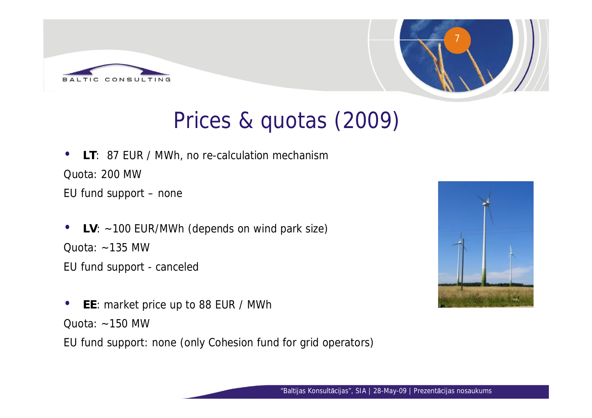



## Prices & quotas (2009)

- **LT**: 87 EUR / MWh, no re-calculation mechanism Quota: 200 MW EU fund support –none
- **LV**: ~100 EUR/MWh (depends on wind park size)  $Quota: ~ -135$  MW
- EU fund support canceled
- **EE**: market price up to 88 EUR / MWh Quota:  $\sim$ 150 MW
- EU fund support: none (only Cohesion fund for grid operators)

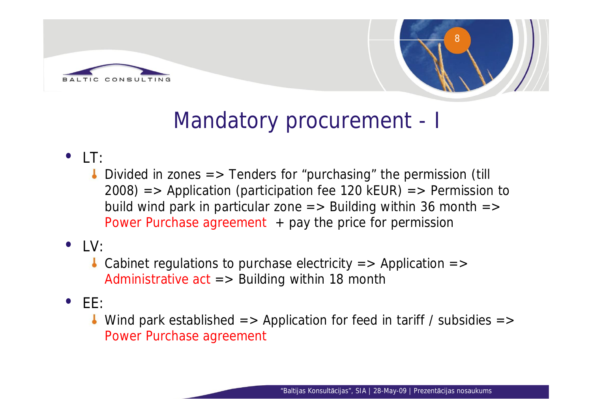



## Mandatory procurement - I

- $\bullet$   $\top$ :
	- Divided in zones  $\Rightarrow$  Tenders for "purchasing" the permission (till  $2008$ ) => Application (participation fee 120 kEUR) => Permission to build wind park in particular zone  $\Rightarrow$  Building within 36 month  $\Rightarrow$ Power Purchase agreement  $+$  pay the price for permission
- $\bullet$  |  $\vee$ 
	- Cabinet regulations to purchase electricity  $\Rightarrow$  Application  $\Rightarrow$ Administrative  $act \Rightarrow$  Building within 18 month
- $\bullet$  FF:
	- Wind park established  $\Rightarrow$  Application for feed in tariff / subsidies  $\Rightarrow$ Power Purchase agreement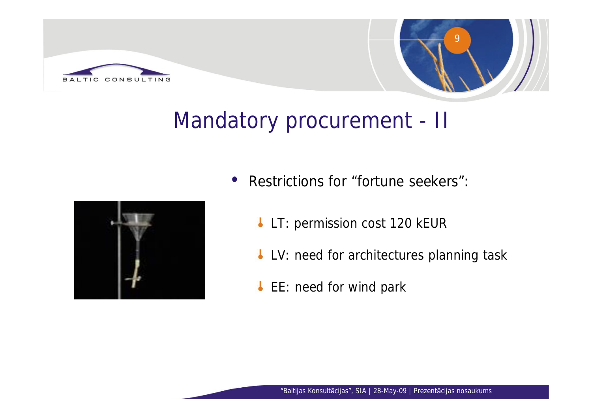



## Mandatory procurement - II



- Restrictions for "fortune seekers":
	- LT: permission cost 120 kEUR
	- **LV: need for architectures planning task**
	- EE: need for wind park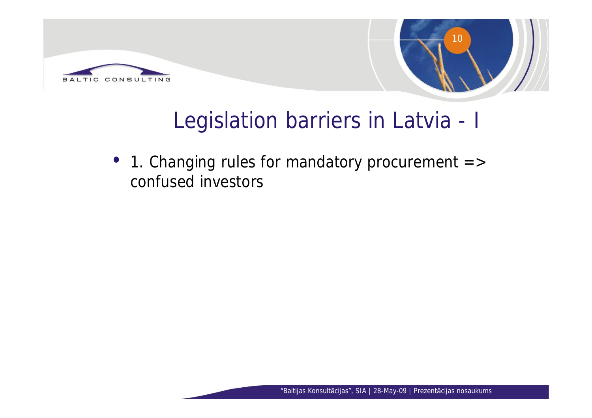



## Legislation barriers in Latvia - I

• 1. Changing rules for mandatory procurement => confused investors

"Baltijas Konsultācijas", SIA | 28-May-09 | Prezentācijas nosaukums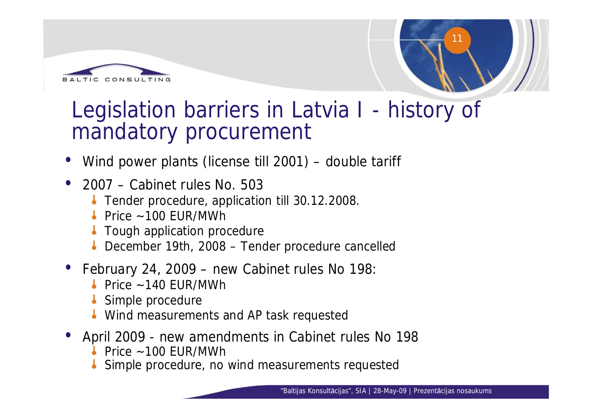



### Legislation barriers in Latvia I - history of mandatory procurement

- •Wind power plants (license till 2001) –double tariff
- •2007 –Cabinet rules No. 503
	- **Tender procedure, application till 30.12.2008.**
	- $\blacktriangleright$  Price ~100 FUR/MWh
	- **I** Tough application procedure
	- December 19th, 2008 Tender procedure cancelled
- February 24, 2009 new Cabinet rules No 198:
	- Price  $\sim$  140 FUR/MWh
	- Simple procedure
	- **Wind measurements and AP task requested**
- •April 2009 new amendments in Cabinet rules No 198
	- $\blacktriangleright$  Price ~100 FUR/MWh
	- Simple procedure, no wind measurements requested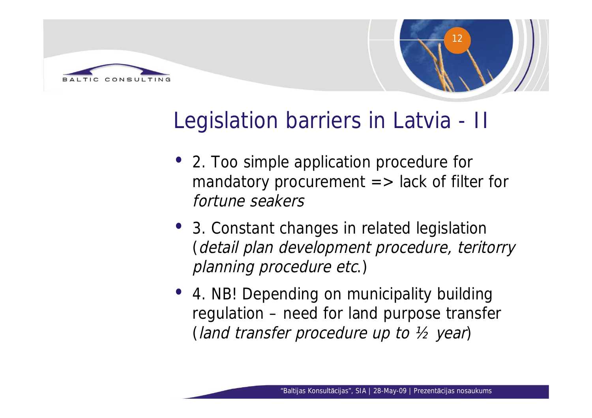



## Legislation barriers in Latvia - II

- 2. Too simple application procedure for mandatory procurement  $\Rightarrow$  lack of filter for fortune seakers
- 3. Constant changes in related legislation (detail plan development procedure, teritorry planning procedure etc.)
- 4. NB! Depending on municipality building regulation –need for land purpose transfer (land transfer procedure up to ½ year)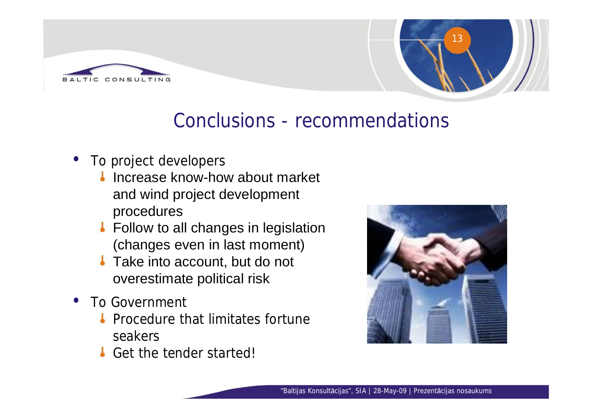



#### Conclusions - recommendations

- To project developers
	- Increase know-how about market and wind project development procedures
	- **Follow to all changes in legislation** (changes even in last moment)
	- **Take into account, but do not** overestimate political risk
- To Government
	- **Procedure that limitates fortune** seakers
	- Get the tender started!